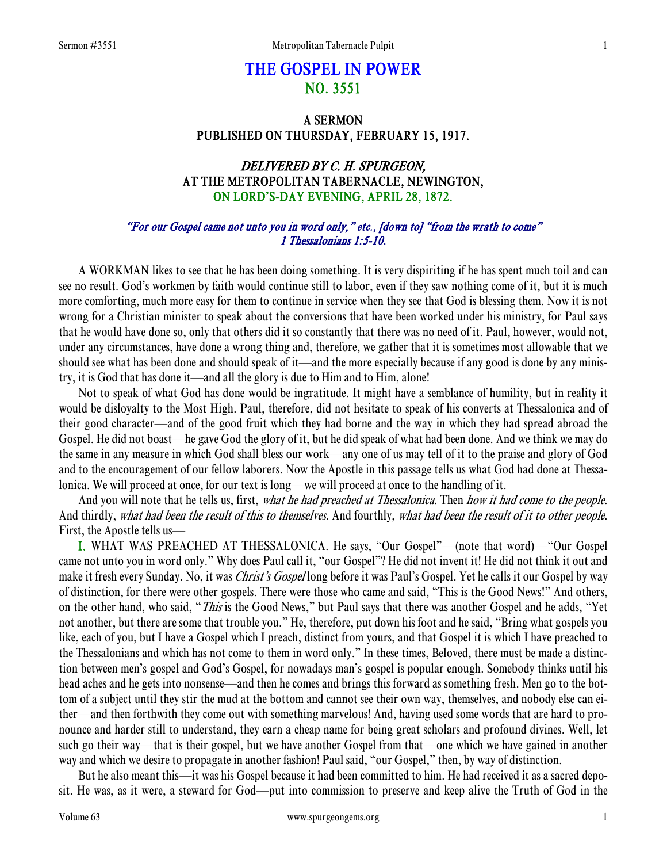# THE GOSPEL IN POWER NO. 3551

# A SERMON PUBLISHED ON THURSDAY, FEBRUARY 15, 1917.

# DELIVERED BY C. H. SPURGEON, AT THE METROPOLITAN TABERNACLE, NEWINGTON, ON LORD'S-DAY EVENING, APRIL 28, 1872.

## "For our Gospel came not unto you in word only," etc., [down to] "from the wrath to come" 1 Thessalonians 1:5-10.

 A WORKMAN likes to see that he has been doing something. It is very dispiriting if he has spent much toil and can see no result. God's workmen by faith would continue still to labor, even if they saw nothing come of it, but it is much more comforting, much more easy for them to continue in service when they see that God is blessing them. Now it is not wrong for a Christian minister to speak about the conversions that have been worked under his ministry, for Paul says that he would have done so, only that others did it so constantly that there was no need of it. Paul, however, would not, under any circumstances, have done a wrong thing and, therefore, we gather that it is sometimes most allowable that we should see what has been done and should speak of it—and the more especially because if any good is done by any ministry, it is God that has done it—and all the glory is due to Him and to Him, alone!

 Not to speak of what God has done would be ingratitude. It might have a semblance of humility, but in reality it would be disloyalty to the Most High. Paul, therefore, did not hesitate to speak of his converts at Thessalonica and of their good character—and of the good fruit which they had borne and the way in which they had spread abroad the Gospel. He did not boast—he gave God the glory of it, but he did speak of what had been done. And we think we may do the same in any measure in which God shall bless our work—any one of us may tell of it to the praise and glory of God and to the encouragement of our fellow laborers. Now the Apostle in this passage tells us what God had done at Thessalonica. We will proceed at once, for our text is long—we will proceed at once to the handling of it.

And you will note that he tells us, first, what he had preached at Thessalonica. Then how it had come to the people. And thirdly, what had been the result of this to themselves. And fourthly, what had been the result of it to other people. First, the Apostle tells us—

I. WHAT WAS PREACHED AT THESSALONICA. He says, "Our Gospel"—(note that word)—"Our Gospel came not unto you in word only." Why does Paul call it, "our Gospel"? He did not invent it! He did not think it out and make it fresh every Sunday. No, it was *Christ's Gospel* long before it was Paul's Gospel. Yet he calls it our Gospel by way of distinction, for there were other gospels. There were those who came and said, "This is the Good News!" And others, on the other hand, who said, "This is the Good News," but Paul says that there was another Gospel and he adds, "Yet not another, but there are some that trouble you." He, therefore, put down his foot and he said, "Bring what gospels you like, each of you, but I have a Gospel which I preach, distinct from yours, and that Gospel it is which I have preached to the Thessalonians and which has not come to them in word only." In these times, Beloved, there must be made a distinction between men's gospel and God's Gospel, for nowadays man's gospel is popular enough. Somebody thinks until his head aches and he gets into nonsense—and then he comes and brings this forward as something fresh. Men go to the bottom of a subject until they stir the mud at the bottom and cannot see their own way, themselves, and nobody else can either—and then forthwith they come out with something marvelous! And, having used some words that are hard to pronounce and harder still to understand, they earn a cheap name for being great scholars and profound divines. Well, let such go their way—that is their gospel, but we have another Gospel from that—one which we have gained in another way and which we desire to propagate in another fashion! Paul said, "our Gospel," then, by way of distinction.

 But he also meant this—it was his Gospel because it had been committed to him. He had received it as a sacred deposit. He was, as it were, a steward for God—put into commission to preserve and keep alive the Truth of God in the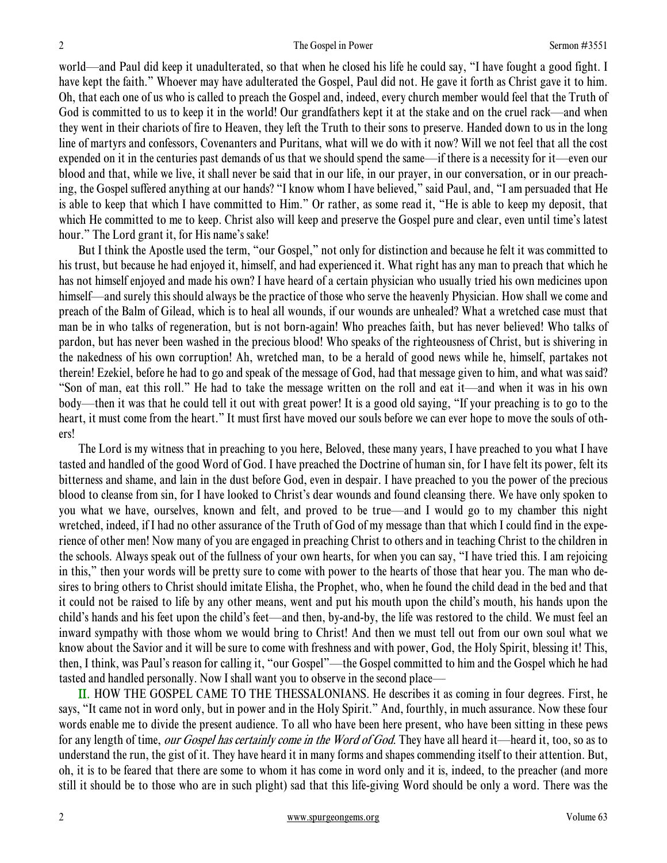world—and Paul did keep it unadulterated, so that when he closed his life he could say, "I have fought a good fight. I have kept the faith." Whoever may have adulterated the Gospel, Paul did not. He gave it forth as Christ gave it to him. Oh, that each one of us who is called to preach the Gospel and, indeed, every church member would feel that the Truth of God is committed to us to keep it in the world! Our grandfathers kept it at the stake and on the cruel rack—and when they went in their chariots of fire to Heaven, they left the Truth to their sons to preserve. Handed down to us in the long line of martyrs and confessors, Covenanters and Puritans, what will we do with it now? Will we not feel that all the cost expended on it in the centuries past demands of us that we should spend the same—if there is a necessity for it—even our blood and that, while we live, it shall never be said that in our life, in our prayer, in our conversation, or in our preaching, the Gospel suffered anything at our hands? "I know whom I have believed," said Paul, and, "I am persuaded that He is able to keep that which I have committed to Him." Or rather, as some read it, "He is able to keep my deposit, that which He committed to me to keep. Christ also will keep and preserve the Gospel pure and clear, even until time's latest hour." The Lord grant it, for His name's sake!

 But I think the Apostle used the term, "our Gospel," not only for distinction and because he felt it was committed to his trust, but because he had enjoyed it, himself, and had experienced it. What right has any man to preach that which he has not himself enjoyed and made his own? I have heard of a certain physician who usually tried his own medicines upon himself—and surely this should always be the practice of those who serve the heavenly Physician. How shall we come and preach of the Balm of Gilead, which is to heal all wounds, if our wounds are unhealed? What a wretched case must that man be in who talks of regeneration, but is not born-again! Who preaches faith, but has never believed! Who talks of pardon, but has never been washed in the precious blood! Who speaks of the righteousness of Christ, but is shivering in the nakedness of his own corruption! Ah, wretched man, to be a herald of good news while he, himself, partakes not therein! Ezekiel, before he had to go and speak of the message of God, had that message given to him, and what was said? "Son of man, eat this roll." He had to take the message written on the roll and eat it—and when it was in his own body—then it was that he could tell it out with great power! It is a good old saying, "If your preaching is to go to the heart, it must come from the heart." It must first have moved our souls before we can ever hope to move the souls of others!

 The Lord is my witness that in preaching to you here, Beloved, these many years, I have preached to you what I have tasted and handled of the good Word of God. I have preached the Doctrine of human sin, for I have felt its power, felt its bitterness and shame, and lain in the dust before God, even in despair. I have preached to you the power of the precious blood to cleanse from sin, for I have looked to Christ's dear wounds and found cleansing there. We have only spoken to you what we have, ourselves, known and felt, and proved to be true—and I would go to my chamber this night wretched, indeed, if I had no other assurance of the Truth of God of my message than that which I could find in the experience of other men! Now many of you are engaged in preaching Christ to others and in teaching Christ to the children in the schools. Always speak out of the fullness of your own hearts, for when you can say, "I have tried this. I am rejoicing in this," then your words will be pretty sure to come with power to the hearts of those that hear you. The man who desires to bring others to Christ should imitate Elisha, the Prophet, who, when he found the child dead in the bed and that it could not be raised to life by any other means, went and put his mouth upon the child's mouth, his hands upon the child's hands and his feet upon the child's feet—and then, by-and-by, the life was restored to the child. We must feel an inward sympathy with those whom we would bring to Christ! And then we must tell out from our own soul what we know about the Savior and it will be sure to come with freshness and with power, God, the Holy Spirit, blessing it! This, then, I think, was Paul's reason for calling it, "our Gospel"—the Gospel committed to him and the Gospel which he had tasted and handled personally. Now I shall want you to observe in the second place—

II. HOW THE GOSPEL CAME TO THE THESSALONIANS. He describes it as coming in four degrees. First, he says, "It came not in word only, but in power and in the Holy Spirit." And, fourthly, in much assurance. Now these four words enable me to divide the present audience. To all who have been here present, who have been sitting in these pews for any length of time, *our Gospel has certainly come in the Word of God*. They have all heard it—heard it, too, so as to understand the run, the gist of it. They have heard it in many forms and shapes commending itself to their attention. But, oh, it is to be feared that there are some to whom it has come in word only and it is, indeed, to the preacher (and more still it should be to those who are in such plight) sad that this life-giving Word should be only a word. There was the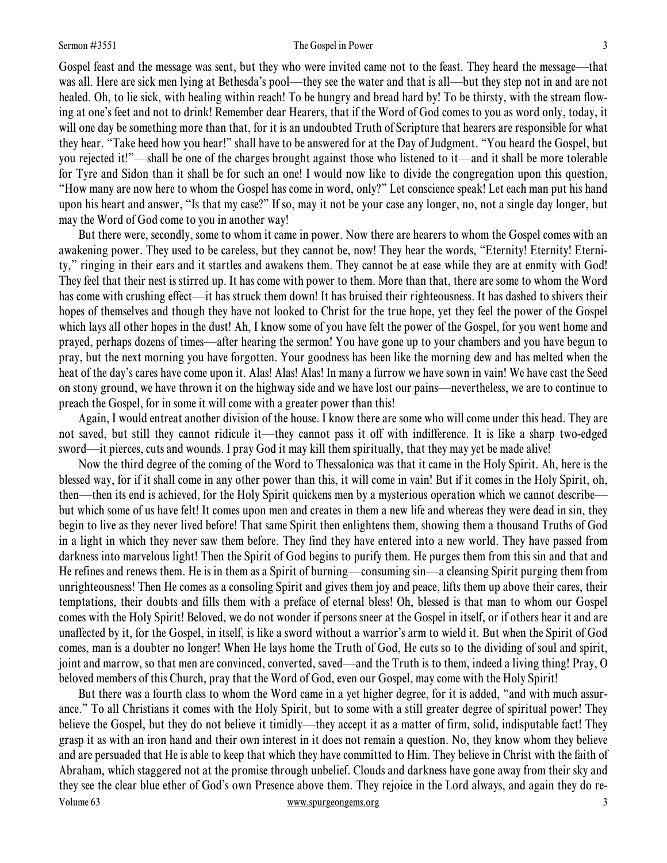#### Sermon #3551 The Gospel in Power 3

Gospel feast and the message was sent, but they who were invited came not to the feast. They heard the message—that was all. Here are sick men lying at Bethesda's pool—they see the water and that is all—but they step not in and are not healed. Oh, to lie sick, with healing within reach! To be hungry and bread hard by! To be thirsty, with the stream flowing at one's feet and not to drink! Remember dear Hearers, that if the Word of God comes to you as word only, today, it will one day be something more than that, for it is an undoubted Truth of Scripture that hearers are responsible for what they hear. "Take heed how you hear!" shall have to be answered for at the Day of Judgment. "You heard the Gospel, but you rejected it!"—shall be one of the charges brought against those who listened to it—and it shall be more tolerable for Tyre and Sidon than it shall be for such an one! I would now like to divide the congregation upon this question, "How many are now here to whom the Gospel has come in word, only?" Let conscience speak! Let each man put his hand upon his heart and answer, "Is that my case?" If so, may it not be your case any longer, no, not a single day longer, but may the Word of God come to you in another way!

 But there were, secondly, some to whom it came in power. Now there are hearers to whom the Gospel comes with an awakening power. They used to be careless, but they cannot be, now! They hear the words, "Eternity! Eternity! Eternity," ringing in their ears and it startles and awakens them. They cannot be at ease while they are at enmity with God! They feel that their nest is stirred up. It has come with power to them. More than that, there are some to whom the Word has come with crushing effect—it has struck them down! It has bruised their righteousness. It has dashed to shivers their hopes of themselves and though they have not looked to Christ for the true hope, yet they feel the power of the Gospel which lays all other hopes in the dust! Ah, I know some of you have felt the power of the Gospel, for you went home and prayed, perhaps dozens of times—after hearing the sermon! You have gone up to your chambers and you have begun to pray, but the next morning you have forgotten. Your goodness has been like the morning dew and has melted when the heat of the day's cares have come upon it. Alas! Alas! Alas! In many a furrow we have sown in vain! We have cast the Seed on stony ground, we have thrown it on the highway side and we have lost our pains—nevertheless, we are to continue to preach the Gospel, for in some it will come with a greater power than this!

 Again, I would entreat another division of the house. I know there are some who will come under this head. They are not saved, but still they cannot ridicule it—they cannot pass it off with indifference. It is like a sharp two-edged sword—it pierces, cuts and wounds. I pray God it may kill them spiritually, that they may yet be made alive!

 Now the third degree of the coming of the Word to Thessalonica was that it came in the Holy Spirit. Ah, here is the blessed way, for if it shall come in any other power than this, it will come in vain! But if it comes in the Holy Spirit, oh, then—then its end is achieved, for the Holy Spirit quickens men by a mysterious operation which we cannot describe but which some of us have felt! It comes upon men and creates in them a new life and whereas they were dead in sin, they begin to live as they never lived before! That same Spirit then enlightens them, showing them a thousand Truths of God in a light in which they never saw them before. They find they have entered into a new world. They have passed from darkness into marvelous light! Then the Spirit of God begins to purify them. He purges them from this sin and that and He refines and renews them. He is in them as a Spirit of burning—consuming sin—a cleansing Spirit purging them from unrighteousness! Then He comes as a consoling Spirit and gives them joy and peace, lifts them up above their cares, their temptations, their doubts and fills them with a preface of eternal bless! Oh, blessed is that man to whom our Gospel comes with the Holy Spirit! Beloved, we do not wonder if persons sneer at the Gospel in itself, or if others hear it and are unaffected by it, for the Gospel, in itself, is like a sword without a warrior's arm to wield it. But when the Spirit of God comes, man is a doubter no longer! When He lays home the Truth of God, He cuts so to the dividing of soul and spirit, joint and marrow, so that men are convinced, converted, saved—and the Truth is to them, indeed a living thing! Pray, O beloved members of this Church, pray that the Word of God, even our Gospel, may come with the Holy Spirit!

Volume 63 www.spurgeongems.org 3 But there was a fourth class to whom the Word came in a yet higher degree, for it is added, "and with much assurance." To all Christians it comes with the Holy Spirit, but to some with a still greater degree of spiritual power! They believe the Gospel, but they do not believe it timidly—they accept it as a matter of firm, solid, indisputable fact! They grasp it as with an iron hand and their own interest in it does not remain a question. No, they know whom they believe and are persuaded that He is able to keep that which they have committed to Him. They believe in Christ with the faith of Abraham, which staggered not at the promise through unbelief. Clouds and darkness have gone away from their sky and they see the clear blue ether of God's own Presence above them. They rejoice in the Lord always, and again they do re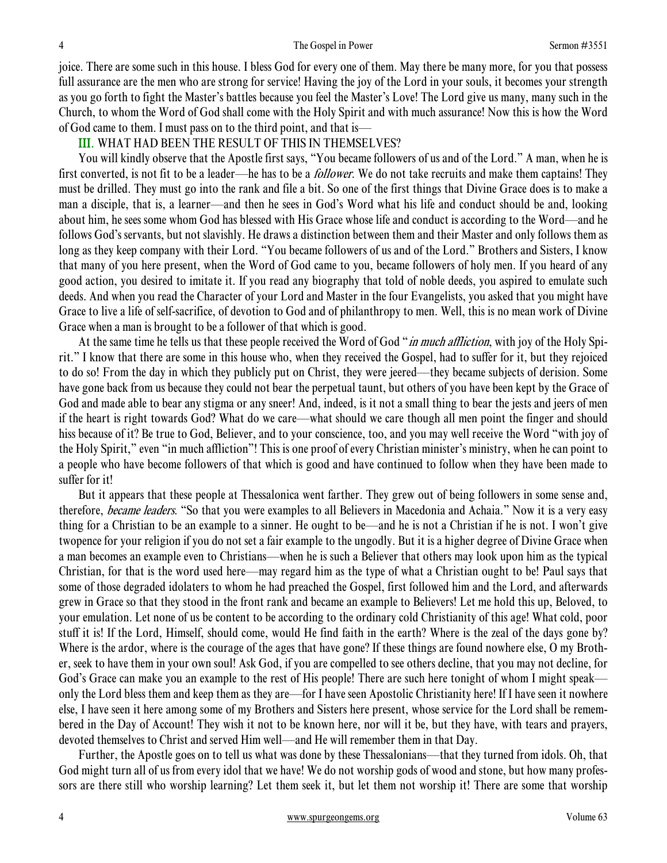joice. There are some such in this house. I bless God for every one of them. May there be many more, for you that possess full assurance are the men who are strong for service! Having the joy of the Lord in your souls, it becomes your strength as you go forth to fight the Master's battles because you feel the Master's Love! The Lord give us many, many such in the Church, to whom the Word of God shall come with the Holy Spirit and with much assurance! Now this is how the Word of God came to them. I must pass on to the third point, and that is—

### III. WHAT HAD BEEN THE RESULT OF THIS IN THEMSELVES?

 You will kindly observe that the Apostle first says, "You became followers of us and of the Lord." A man, when he is first converted, is not fit to be a leader—he has to be a *follower*. We do not take recruits and make them captains! They must be drilled. They must go into the rank and file a bit. So one of the first things that Divine Grace does is to make a man a disciple, that is, a learner—and then he sees in God's Word what his life and conduct should be and, looking about him, he sees some whom God has blessed with His Grace whose life and conduct is according to the Word—and he follows God's servants, but not slavishly. He draws a distinction between them and their Master and only follows them as long as they keep company with their Lord. "You became followers of us and of the Lord." Brothers and Sisters, I know that many of you here present, when the Word of God came to you, became followers of holy men. If you heard of any good action, you desired to imitate it. If you read any biography that told of noble deeds, you aspired to emulate such deeds. And when you read the Character of your Lord and Master in the four Evangelists, you asked that you might have Grace to live a life of self-sacrifice, of devotion to God and of philanthropy to men. Well, this is no mean work of Divine Grace when a man is brought to be a follower of that which is good.

At the same time he tells us that these people received the Word of God "*in much affliction*, with joy of the Holy Spirit." I know that there are some in this house who, when they received the Gospel, had to suffer for it, but they rejoiced to do so! From the day in which they publicly put on Christ, they were jeered—they became subjects of derision. Some have gone back from us because they could not bear the perpetual taunt, but others of you have been kept by the Grace of God and made able to bear any stigma or any sneer! And, indeed, is it not a small thing to bear the jests and jeers of men if the heart is right towards God? What do we care—what should we care though all men point the finger and should hiss because of it? Be true to God, Believer, and to your conscience, too, and you may well receive the Word "with joy of the Holy Spirit," even "in much affliction"! This is one proof of every Christian minister's ministry, when he can point to a people who have become followers of that which is good and have continued to follow when they have been made to suffer for it!

 But it appears that these people at Thessalonica went farther. They grew out of being followers in some sense and, therefore, *became leaders*. "So that you were examples to all Believers in Macedonia and Achaia." Now it is a very easy thing for a Christian to be an example to a sinner. He ought to be—and he is not a Christian if he is not. I won't give twopence for your religion if you do not set a fair example to the ungodly. But it is a higher degree of Divine Grace when a man becomes an example even to Christians—when he is such a Believer that others may look upon him as the typical Christian, for that is the word used here—may regard him as the type of what a Christian ought to be! Paul says that some of those degraded idolaters to whom he had preached the Gospel, first followed him and the Lord, and afterwards grew in Grace so that they stood in the front rank and became an example to Believers! Let me hold this up, Beloved, to your emulation. Let none of us be content to be according to the ordinary cold Christianity of this age! What cold, poor stuff it is! If the Lord, Himself, should come, would He find faith in the earth? Where is the zeal of the days gone by? Where is the ardor, where is the courage of the ages that have gone? If these things are found nowhere else, O my Brother, seek to have them in your own soul! Ask God, if you are compelled to see others decline, that you may not decline, for God's Grace can make you an example to the rest of His people! There are such here tonight of whom I might speak only the Lord bless them and keep them as they are—for I have seen Apostolic Christianity here! If I have seen it nowhere else, I have seen it here among some of my Brothers and Sisters here present, whose service for the Lord shall be remembered in the Day of Account! They wish it not to be known here, nor will it be, but they have, with tears and prayers, devoted themselves to Christ and served Him well—and He will remember them in that Day.

 Further, the Apostle goes on to tell us what was done by these Thessalonians—that they turned from idols. Oh, that God might turn all of us from every idol that we have! We do not worship gods of wood and stone, but how many professors are there still who worship learning? Let them seek it, but let them not worship it! There are some that worship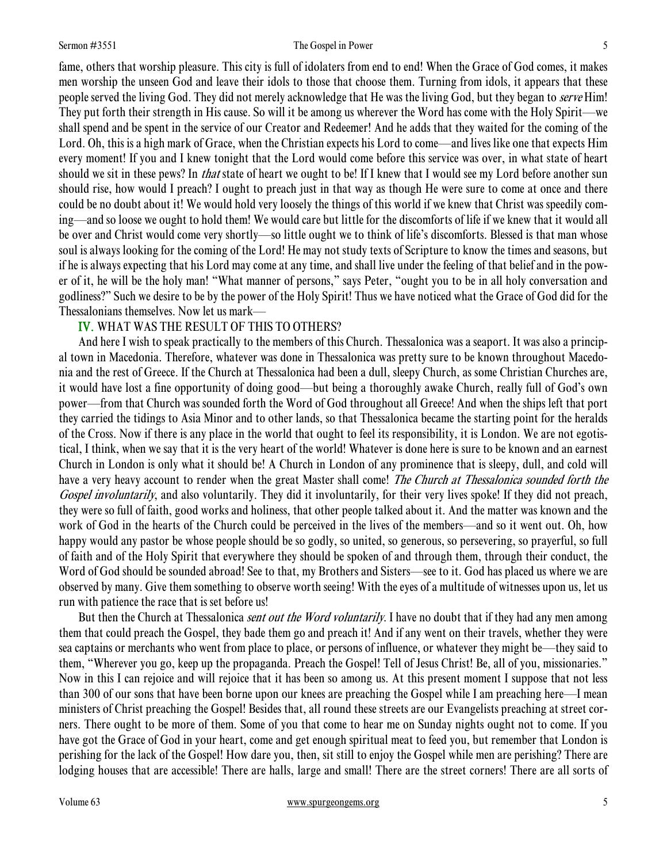#### Sermon #3551 The Gospel in Power 5

fame, others that worship pleasure. This city is full of idolaters from end to end! When the Grace of God comes, it makes men worship the unseen God and leave their idols to those that choose them. Turning from idols, it appears that these people served the living God. They did not merely acknowledge that He was the living God, but they began to serve Him! They put forth their strength in His cause. So will it be among us wherever the Word has come with the Holy Spirit—we shall spend and be spent in the service of our Creator and Redeemer! And he adds that they waited for the coming of the Lord. Oh, this is a high mark of Grace, when the Christian expects his Lord to come—and lives like one that expects Him every moment! If you and I knew tonight that the Lord would come before this service was over, in what state of heart should we sit in these pews? In *that* state of heart we ought to be! If I knew that I would see my Lord before another sun should rise, how would I preach? I ought to preach just in that way as though He were sure to come at once and there could be no doubt about it! We would hold very loosely the things of this world if we knew that Christ was speedily coming—and so loose we ought to hold them! We would care but little for the discomforts of life if we knew that it would all be over and Christ would come very shortly—so little ought we to think of life's discomforts. Blessed is that man whose soul is always looking for the coming of the Lord! He may not study texts of Scripture to know the times and seasons, but if he is always expecting that his Lord may come at any time, and shall live under the feeling of that belief and in the power of it, he will be the holy man! "What manner of persons," says Peter, "ought you to be in all holy conversation and godliness?" Such we desire to be by the power of the Holy Spirit! Thus we have noticed what the Grace of God did for the Thessalonians themselves. Now let us mark—

## IV. WHAT WAS THE RESULT OF THIS TO OTHERS?

 And here I wish to speak practically to the members of this Church. Thessalonica was a seaport. It was also a principal town in Macedonia. Therefore, whatever was done in Thessalonica was pretty sure to be known throughout Macedonia and the rest of Greece. If the Church at Thessalonica had been a dull, sleepy Church, as some Christian Churches are, it would have lost a fine opportunity of doing good—but being a thoroughly awake Church, really full of God's own power—from that Church was sounded forth the Word of God throughout all Greece! And when the ships left that port they carried the tidings to Asia Minor and to other lands, so that Thessalonica became the starting point for the heralds of the Cross. Now if there is any place in the world that ought to feel its responsibility, it is London. We are not egotistical, I think, when we say that it is the very heart of the world! Whatever is done here is sure to be known and an earnest Church in London is only what it should be! A Church in London of any prominence that is sleepy, dull, and cold will have a very heavy account to render when the great Master shall come! The Church at Thessalonica sounded forth the Gospel involuntarily, and also voluntarily. They did it involuntarily, for their very lives spoke! If they did not preach, they were so full of faith, good works and holiness, that other people talked about it. And the matter was known and the work of God in the hearts of the Church could be perceived in the lives of the members—and so it went out. Oh, how happy would any pastor be whose people should be so godly, so united, so generous, so persevering, so prayerful, so full of faith and of the Holy Spirit that everywhere they should be spoken of and through them, through their conduct, the Word of God should be sounded abroad! See to that, my Brothers and Sisters—see to it. God has placed us where we are observed by many. Give them something to observe worth seeing! With the eyes of a multitude of witnesses upon us, let us run with patience the race that is set before us!

But then the Church at Thessalonica *sent out the Word voluntarily*. I have no doubt that if they had any men among them that could preach the Gospel, they bade them go and preach it! And if any went on their travels, whether they were sea captains or merchants who went from place to place, or persons of influence, or whatever they might be—they said to them, "Wherever you go, keep up the propaganda. Preach the Gospel! Tell of Jesus Christ! Be, all of you, missionaries." Now in this I can rejoice and will rejoice that it has been so among us. At this present moment I suppose that not less than 300 of our sons that have been borne upon our knees are preaching the Gospel while I am preaching here—I mean ministers of Christ preaching the Gospel! Besides that, all round these streets are our Evangelists preaching at street corners. There ought to be more of them. Some of you that come to hear me on Sunday nights ought not to come. If you have got the Grace of God in your heart, come and get enough spiritual meat to feed you, but remember that London is perishing for the lack of the Gospel! How dare you, then, sit still to enjoy the Gospel while men are perishing? There are lodging houses that are accessible! There are halls, large and small! There are the street corners! There are all sorts of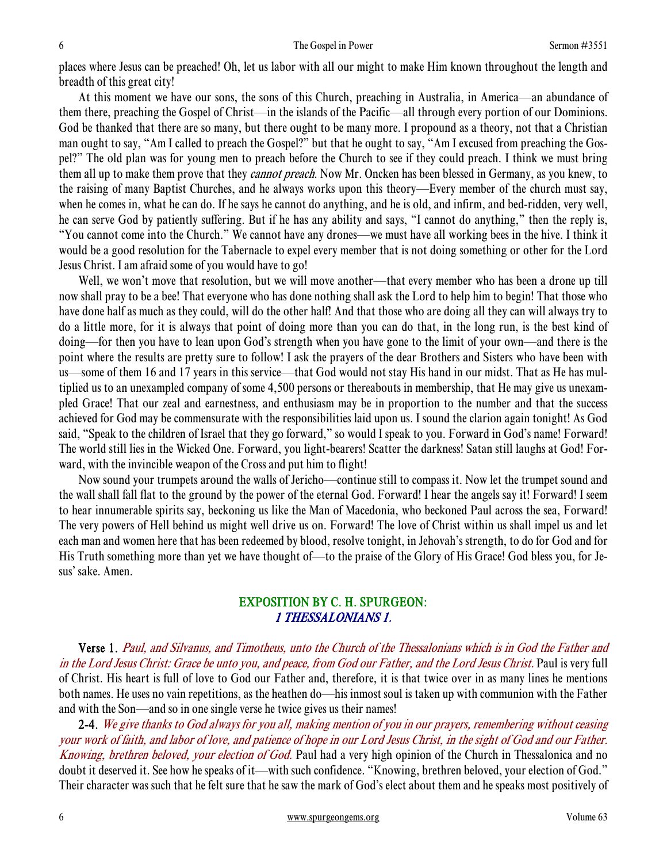places where Jesus can be preached! Oh, let us labor with all our might to make Him known throughout the length and breadth of this great city!

 At this moment we have our sons, the sons of this Church, preaching in Australia, in America—an abundance of them there, preaching the Gospel of Christ—in the islands of the Pacific—all through every portion of our Dominions. God be thanked that there are so many, but there ought to be many more. I propound as a theory, not that a Christian man ought to say, "Am I called to preach the Gospel?" but that he ought to say, "Am I excused from preaching the Gospel?" The old plan was for young men to preach before the Church to see if they could preach. I think we must bring them all up to make them prove that they *cannot preach*. Now Mr. Oncken has been blessed in Germany, as you knew, to the raising of many Baptist Churches, and he always works upon this theory—Every member of the church must say, when he comes in, what he can do. If he says he cannot do anything, and he is old, and infirm, and bed-ridden, very well, he can serve God by patiently suffering. But if he has any ability and says, "I cannot do anything," then the reply is, "You cannot come into the Church." We cannot have any drones—we must have all working bees in the hive. I think it would be a good resolution for the Tabernacle to expel every member that is not doing something or other for the Lord Jesus Christ. I am afraid some of you would have to go!

Well, we won't move that resolution, but we will move another—that every member who has been a drone up till now shall pray to be a bee! That everyone who has done nothing shall ask the Lord to help him to begin! That those who have done half as much as they could, will do the other half! And that those who are doing all they can will always try to do a little more, for it is always that point of doing more than you can do that, in the long run, is the best kind of doing—for then you have to lean upon God's strength when you have gone to the limit of your own—and there is the point where the results are pretty sure to follow! I ask the prayers of the dear Brothers and Sisters who have been with us—some of them 16 and 17 years in this service—that God would not stay His hand in our midst. That as He has multiplied us to an unexampled company of some 4,500 persons or thereabouts in membership, that He may give us unexampled Grace! That our zeal and earnestness, and enthusiasm may be in proportion to the number and that the success achieved for God may be commensurate with the responsibilities laid upon us. I sound the clarion again tonight! As God said, "Speak to the children of Israel that they go forward," so would I speak to you. Forward in God's name! Forward! The world still lies in the Wicked One. Forward, you light-bearers! Scatter the darkness! Satan still laughs at God! Forward, with the invincible weapon of the Cross and put him to flight!

 Now sound your trumpets around the walls of Jericho—continue still to compass it. Now let the trumpet sound and the wall shall fall flat to the ground by the power of the eternal God. Forward! I hear the angels say it! Forward! I seem to hear innumerable spirits say, beckoning us like the Man of Macedonia, who beckoned Paul across the sea, Forward! The very powers of Hell behind us might well drive us on. Forward! The love of Christ within us shall impel us and let each man and women here that has been redeemed by blood, resolve tonight, in Jehovah's strength, to do for God and for His Truth something more than yet we have thought of—to the praise of the Glory of His Grace! God bless you, for Jesus' sake. Amen.

## EXPOSITION BY C. H. SPURGEON: 1 THESSALONIANS 1.

 Verse 1. Paul, and Silvanus, and Timotheus, unto the Church of the Thessalonians which is in God the Father and in the Lord Jesus Christ: Grace be unto you, and peace, from God our Father, and the Lord Jesus Christ. Paul is very full of Christ. His heart is full of love to God our Father and, therefore, it is that twice over in as many lines he mentions both names. He uses no vain repetitions, as the heathen do—his inmost soul is taken up with communion with the Father and with the Son—and so in one single verse he twice gives us their names!

2-4. We give thanks to God always for you all, making mention of you in our prayers, remembering without ceasing your work of faith, and labor of love, and patience of hope in our Lord Jesus Christ, in the sight of God and our Father. Knowing, brethren beloved, your election of God. Paul had a very high opinion of the Church in Thessalonica and no doubt it deserved it. See how he speaks of it—with such confidence. "Knowing, brethren beloved, your election of God." Their character was such that he felt sure that he saw the mark of God's elect about them and he speaks most positively of